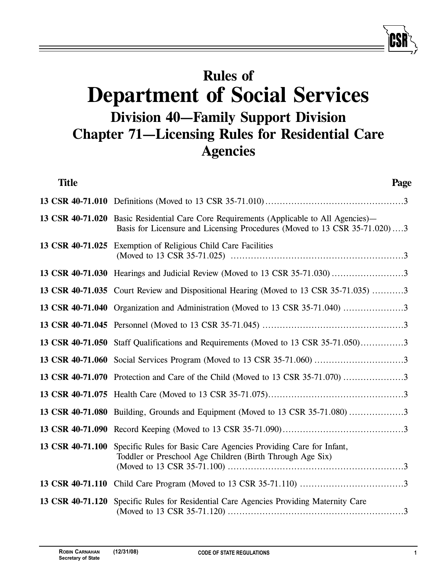## **Rules of Department of Social Services Division 40—Family Support Division Chapter 71—Licensing Rules for Residential Care Agencies**

| <b>Title</b>     | Page                                                                                                                                                                 |
|------------------|----------------------------------------------------------------------------------------------------------------------------------------------------------------------|
|                  |                                                                                                                                                                      |
|                  | 13 CSR 40-71.020 Basic Residential Care Core Requirements (Applicable to All Agencies)—<br>Basis for Licensure and Licensing Procedures (Moved to 13 CSR 35-71.020)3 |
|                  | 13 CSR 40-71.025 Exemption of Religious Child Care Facilities                                                                                                        |
|                  |                                                                                                                                                                      |
|                  | 13 CSR 40-71.035 Court Review and Dispositional Hearing (Moved to 13 CSR 35-71.035) 3                                                                                |
|                  | 13 CSR 40-71.040 Organization and Administration (Moved to 13 CSR 35-71.040)                                                                                         |
|                  |                                                                                                                                                                      |
|                  | 13 CSR 40-71.050 Staff Qualifications and Requirements (Moved to 13 CSR 35-71.050)3                                                                                  |
|                  |                                                                                                                                                                      |
|                  | 13 CSR 40-71.070 Protection and Care of the Child (Moved to 13 CSR 35-71.070)                                                                                        |
|                  |                                                                                                                                                                      |
|                  | 13 CSR 40-71.080 Building, Grounds and Equipment (Moved to 13 CSR 35-71.080)                                                                                         |
|                  |                                                                                                                                                                      |
| 13 CSR 40-71.100 | Specific Rules for Basic Care Agencies Providing Care for Infant,<br>Toddler or Preschool Age Children (Birth Through Age Six)                                       |
|                  |                                                                                                                                                                      |
| 13 CSR 40-71.120 | Specific Rules for Residential Care Agencies Providing Maternity Care                                                                                                |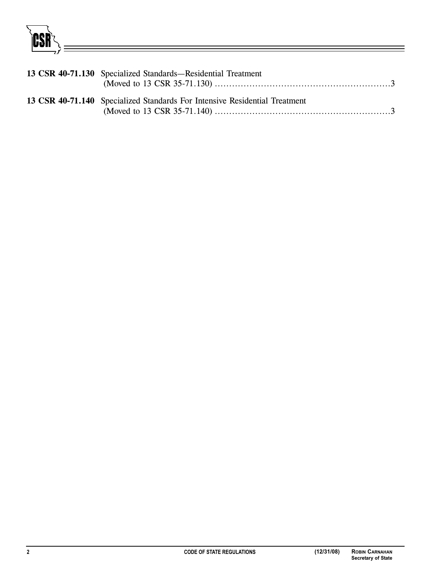CSR

| 13 CSR 40-71.130 Specialized Standards—Residential Treatment               |
|----------------------------------------------------------------------------|
| 13 CSR 40-71.140 Specialized Standards For Intensive Residential Treatment |